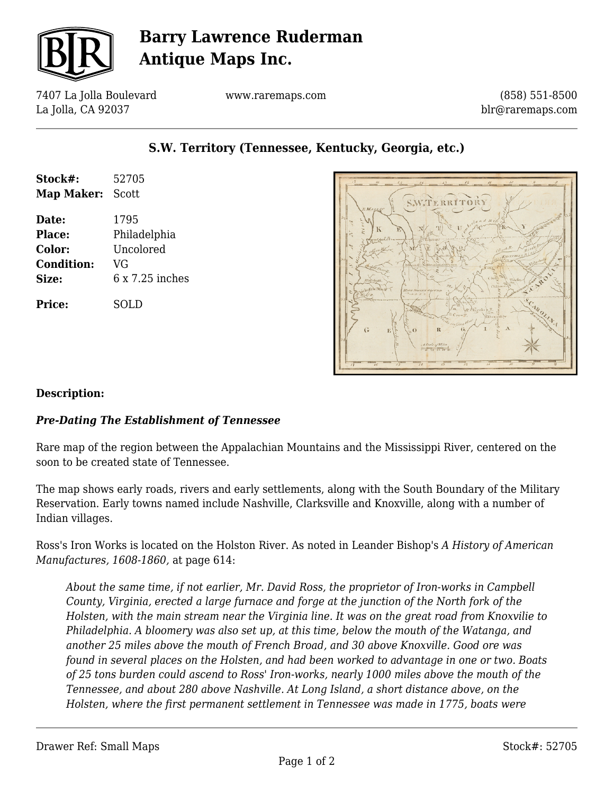

## **Barry Lawrence Ruderman Antique Maps Inc.**

7407 La Jolla Boulevard La Jolla, CA 92037

www.raremaps.com

**S.W. Territory (Tennessee, Kentucky, Georgia, etc.)**

(858) 551-8500 blr@raremaps.com

# **Stock#:** 52705 **Map Maker:** Scott **Date:** 1795

**Place:** Philadelphia **Color:** Uncolored **Condition:** VG **Size:** 6 x 7.25 inches

**Price:** SOLD



#### **Description:**

#### *Pre-Dating The Establishment of Tennessee*

Rare map of the region between the Appalachian Mountains and the Mississippi River, centered on the soon to be created state of Tennessee.

The map shows early roads, rivers and early settlements, along with the South Boundary of the Military Reservation. Early towns named include Nashville, Clarksville and Knoxville, along with a number of Indian villages.

Ross's Iron Works is located on the Holston River. As noted in Leander Bishop's *A History of American Manufactures, 1608-1860,* at page 614:

*About the same time, if not earlier, Mr. David Ross, the proprietor of Iron-works in Campbell County, Virginia, erected a large furnace and forge at the junction of the North fork of the Holsten, with the main stream near the Virginia line. It was on the great road from Knoxvilie to Philadelphia. A bloomery was also set up, at this time, below the mouth of the Watanga, and another 25 miles above the mouth of French Broad, and 30 above Knoxville. Good ore was found in several places on the Holsten, and had been worked to advantage in one or two. Boats of 25 tons burden could ascend to Ross' Iron-works, nearly 1000 miles above the mouth of the Tennessee, and about 280 above Nashville. At Long Island, a short distance above, on the Holsten, where the first permanent settlement in Tennessee was made in 1775, boats were*